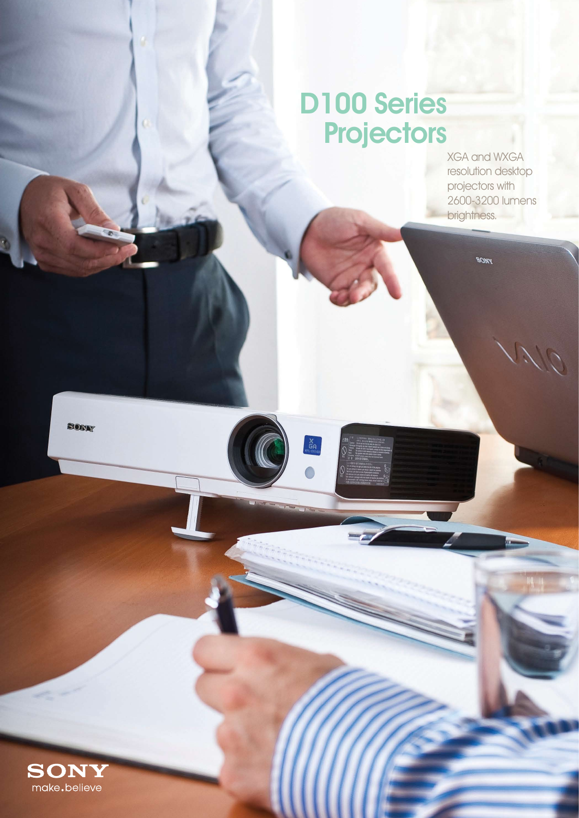# D100 Series **Projectors**

 $X$ <sub>GA</sub><br>VPL-DX140

XGA and WXGA resolution desktop projectors with 2600-3200 lumens brightness.

**BONY** 

SIONAY

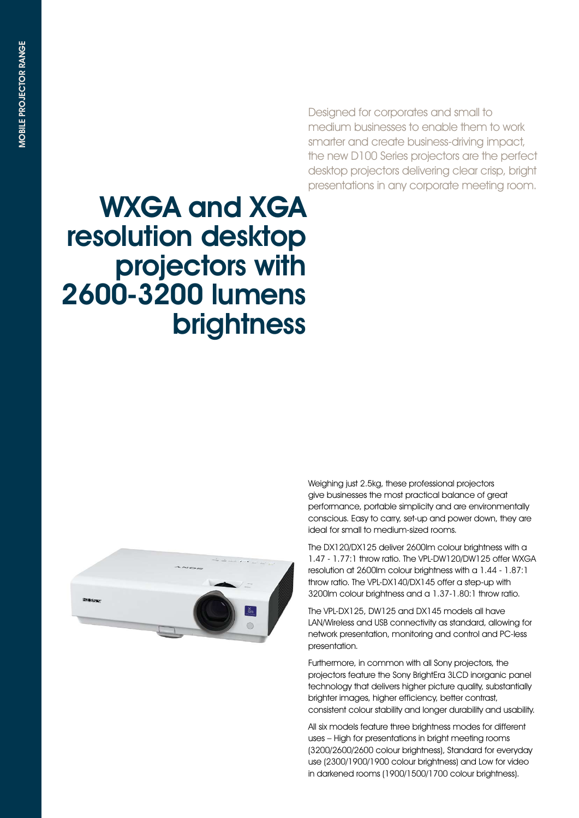Designed for corporates and small to medium businesses to enable them to work smarter and create business-driving impact, the new D100 Series projectors are the perfect desktop projectors delivering clear crisp, bright presentations in any corporate meeting room.

# WXGA and XGA resolution desktop projectors with 2600-3200 lumens brightness



Weighing just 2.5kg, these professional projectors give businesses the most practical balance of great performance, portable simplicity and are environmentally conscious. Easy to carry, set-up and power down, they are ideal for small to medium-sized rooms.

The DX120/DX125 deliver 2600lm colour brightness with a 1.47 - 1.77:1 throw ratio. The VPL-DW120/DW125 offer WXGA resolution at 2600lm colour brightness with a 1.44 - 1.87:1 throw ratio. The VPL-DX140/DX145 offer a step-up with 3200lm colour brightness and a 1.37-1.80:1 throw ratio.

The VPL-DX125, DW125 and DX145 models all have LAN/Wireless and USB connectivity as standard, allowing for network presentation, monitoring and control and PC-less presentation.

Furthermore, in common with all Sony projectors, the projectors feature the Sony BrightEra 3LCD inorganic panel technology that delivers higher picture quality, substantially brighter images, higher efficiency, better contrast, consistent colour stability and longer durability and usability.

All six models feature three brightness modes for different uses – High for presentations in bright meeting rooms (3200/2600/2600 colour brightness), Standard for everyday use (2300/1900/1900 colour brightness) and Low for video in darkened rooms (1900/1500/1700 colour brightness).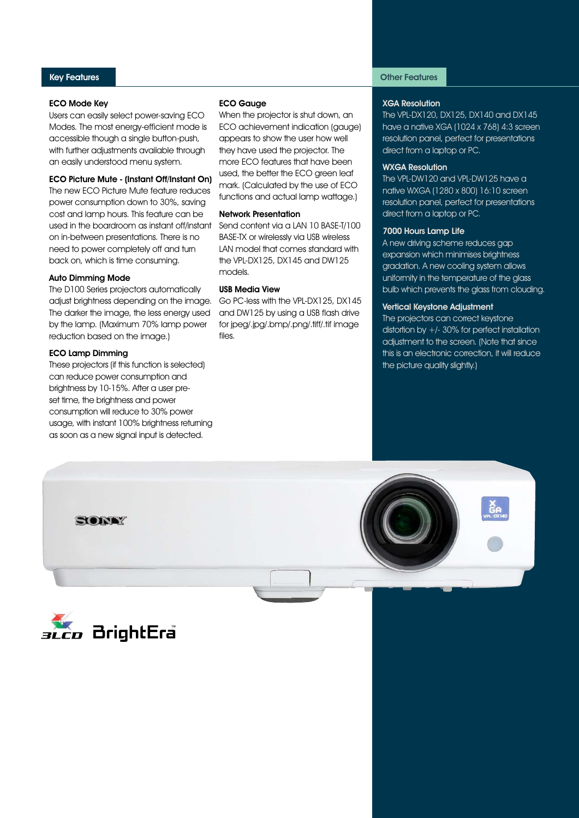# ECO Mode Key

Users can easily select power-saving ECO Modes. The most energy-efficient mode is accessible though a single button-push, with further adjustments available through an easily understood menu system.

# ECO Picture Mute - (Instant Off/Instant On)

The new ECO Picture Mute feature reduces power consumption down to 30%, saving cost and lamp hours. This feature can be used in the boardroom as instant off/instant Send content via a LAN 10 BASE-T/100 on in-between presentations. There is no need to power completely off and turn back on, which is time consuming.

### Auto Dimming Mode

The D100 Series projectors automatically adjust brightness depending on the image. Go PC-less with the VPL-DX125, DX145 The darker the image, the less energy used by the lamp. (Maximum 70% lamp power reduction based on the image.)

# ECO Lamp Dimming

These projectors (if this function is selected) can reduce power consumption and brightness by 10-15%. After a user preset time, the brightness and power consumption will reduce to 30% power usage, with instant 100% brightness returning as soon as a new signal input is detected.

### ECO Gauge

When the projector is shut down, an ECO achievement indication (gauge) appears to show the user how well they have used the projector. The more ECO features that have been used, the better the ECO green leaf mark. (Calculated by the use of ECO functions and actual lamp wattage.)

#### Network Presentation

BASE-TX or wirelessly via USB wireless LAN model that comes standard with the VPL-DX125, DX145 and DW125 models.

# USB Media View

and DW125 by using a USB flash drive for jpeg/.jpg/.bmp/.png/.tiff/.tif image files.

# Key Features **Contract Contract Contract Contract Contract Contract Contract Contract Contract Contract Contract Contract Contract Contract Contract Contract Contract Contract Contract Contract Contract Contract Contract C**

# XGA Resolution

The VPL-DX120, DX125, DX140 and DX145 have a native XGA (1024 x 768) 4:3 screen resolution panel, perfect for presentations direct from a laptop or PC.

# WXGA Resolution

The VPL-DW120 and VPL-DW125 have a native WXGA (1280 x 800) 16:10 screen resolution panel, perfect for presentations direct from a laptop or PC.

#### 7000 Hours Lamp Life

A new driving scheme reduces gap expansion which minimises brightness gradation. A new cooling system allows uniformity in the temperature of the glass bulb which prevents the glass from clouding.

### Vertical Keystone Adjustment

The projectors can correct keystone distortion by +/- 30% for perfect installation adjustment to the screen. (Note that since this is an electronic correction, it will reduce the picture quality slightly.)



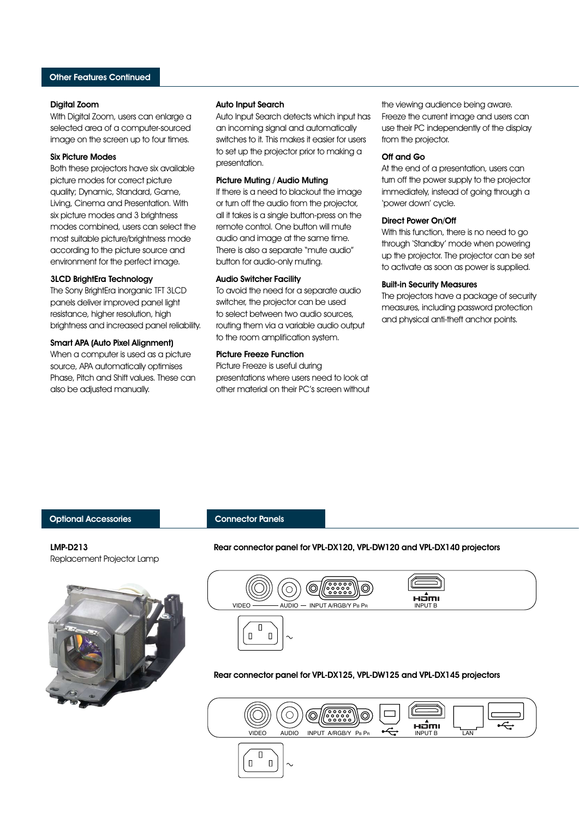# Other Features Continued

#### Digital Zoom

With Digital Zoom, users can enlarge a selected area of a computer-sourced image on the screen up to four times.

# Six Picture Modes

Both these projectors have six available picture modes for correct picture quality; Dynamic, Standard, Game, Living, Cinema and Presentation. With six picture modes and 3 brightness modes combined, users can select the most suitable picture/brightness mode according to the picture source and environment for the perfect image.

#### 3LCD BrightEra Technology

The Sony BrightEra inorganic TFT 3LCD panels deliver improved panel light resistance, higher resolution, high brightness and increased panel reliability.

#### Smart APA (Auto Pixel Alignment)

When a computer is used as a picture source, APA automatically optimises Phase, Pitch and Shift values. These can also be adjusted manually.

#### Auto Input Search

Auto Input Search detects which input has an incoming signal and automatically switches to it. This makes it easier for users to set up the projector prior to making a presentation.

### Picture Muting / Audio Muting

If there is a need to blackout the image or turn off the audio from the projector, all it takes is a single button-press on the remote control. One button will mute audio and image at the same time. There is also a separate "mute audio" button for audio-only muting.

# Audio Switcher Facility

To avoid the need for a separate audio switcher, the projector can be used to select between two audio sources, routing them via a variable audio output to the room amplification system.

#### Picture Freeze Function

Picture Freeze is useful during presentations where users need to look at other material on their PC's screen without the viewing audience being aware. Freeze the current image and users can use their PC independently of the display from the projector.

#### Off and Go

At the end of a presentation, users can turn off the power supply to the projector immediately, instead of going through a 'power down' cycle.

#### Direct Power On/Off

With this function, there is no need to go through 'Standby' mode when powering up the projector. The projector can be set to activate as soon as power is supplied.

#### Built-in Security Measures

The projectors have a package of security measures, including password protection and physical anti-theft anchor points.

#### Optional Accessories **Connector Panels**

LMP-D213 Replacement Projector Lamp



#### Rear connector panel for VPL-DX120, VPL-DW120 and VPL-DX140 projectors



### Rear connector panel for VPL-DX125, VPL-DW125 and VPL-DX145 projectors

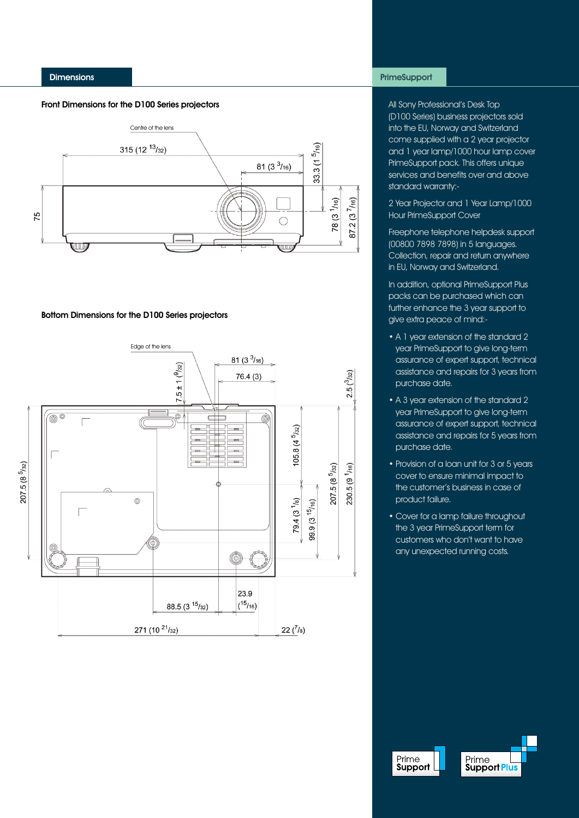# **Dimensions**

# Front Dimensions for the D100 Series projectors



# Bottom Dimensions for the D100 Series projectors



# **PrimeSupport**

All Sony Professional's Desk Top (D100 Series) business projectors sold into the EU, Norway and Switzerland come supplied with a 2 year projector and 1 year lamp/1000 hour lamp cover PrimeSupport pack. This offers unique services and benefits over and above standard warranty:-

2 Year Projector and 1 Year Lamp/1000 Hour PrimeSupport Cover

Freephone telephone helpdesk support (00800 7898 7898) in 5 languages. Collection, repair and return anywhere in EU, Norway and Switzerland.

In addition, optional PrimeSupport Plus packs can be purchased which can further enhance the 3 year support to give extra peace of mind:-

- A 1 year extension of the standard 2 year PrimeSupport to give long-term assurance of expert support, technical assistance and repairs for 3 years from purchase date.
- A 3 year extension of the standard 2 year PrimeSupport to give long-term assurance of expert support, technical assistance and repairs for 5 years from purchase date.
- Provision of a loan unit for 3 or 5 years cover to ensure minimal impact to the customer's business in case of product failure.
- Cover for a lamp failure throughout the 3 year PrimeSupport term for customers who don't want to have any unexpected running costs.

Prime Support